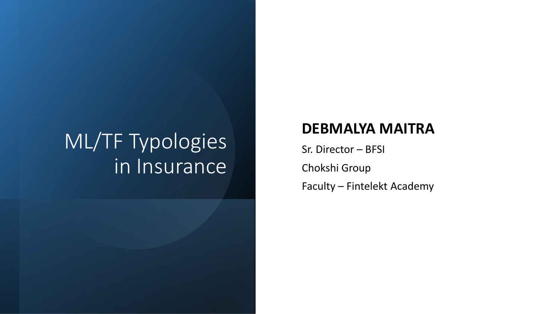# ML/TF Typologies in Insurance

#### **DEBMALYA MAITRA**

Sr. Director – BFSI Chokshi Group Faculty – Fintelekt Academy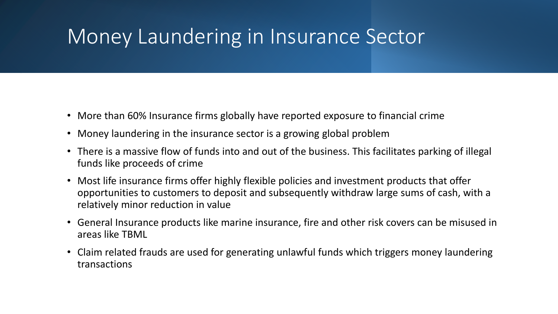### Money Laundering in Insurance Sector

- More than 60% Insurance firms globally have reported exposure to financial crime
- Money laundering in the insurance sector is a growing global problem
- There is a massive flow of funds into and out of the business. This facilitates parking of illegal funds like proceeds of crime
- Most life insurance firms offer highly flexible policies and investment products that offer opportunities to customers to deposit and subsequently withdraw large sums of cash, with a relatively minor reduction in value
- General Insurance products like marine insurance, fire and other risk covers can be misused in areas like TBML
- Claim related frauds are used for generating unlawful funds which triggers money laundering transactions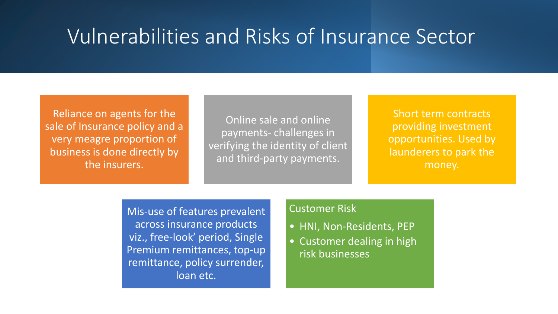### Vulnerabilities and Risks of Insurance Sector

Reliance on agents for the sale of Insurance policy and a very meagre proportion of business is done directly by the insurers.

Online sale and online payments- challenges in verifying the identity of client and third-party payments.

Short term contracts providing investment opportunities. Used by launderers to park the money.

Mis-use of features prevalent across insurance products viz., free-look' period, Single Premium remittances, top-up remittance, policy surrender, loan etc.

#### Customer Risk

- HNI, Non-Residents, PEP
- Customer dealing in high risk businesses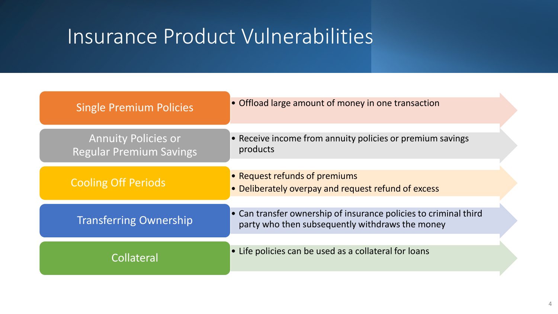### Insurance Product Vulnerabilities

| <b>Single Premium Policies</b>                               | • Offload large amount of money in one transaction                                                                  |
|--------------------------------------------------------------|---------------------------------------------------------------------------------------------------------------------|
| <b>Annuity Policies or</b><br><b>Regular Premium Savings</b> | • Receive income from annuity policies or premium savings<br>products                                               |
| <b>Cooling Off Periods</b>                                   | • Request refunds of premiums<br>• Deliberately overpay and request refund of excess                                |
| <b>Transferring Ownership</b>                                | • Can transfer ownership of insurance policies to criminal third<br>party who then subsequently withdraws the money |
| Collateral                                                   | • Life policies can be used as a collateral for loans                                                               |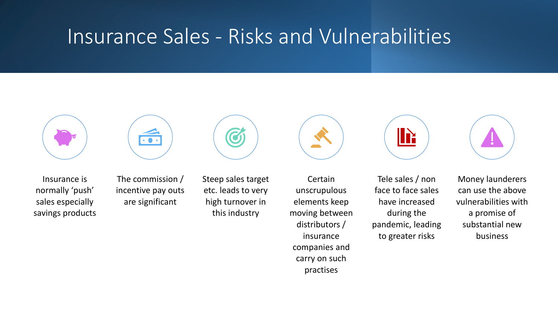### Insurance Sales - Risks and Vulnerabilities







The commission / incentive pay outs are significant



Steep sales target etc. leads to very high turnover in this industry

**Certain** unscrupulous elements keep moving between distributors / insurance companies and carry on such

practises



Tele sales / non face to face sales have increased during the pandemic, leading to greater risks



Money launderers can use the above vulnerabilities with a promise of substantial new business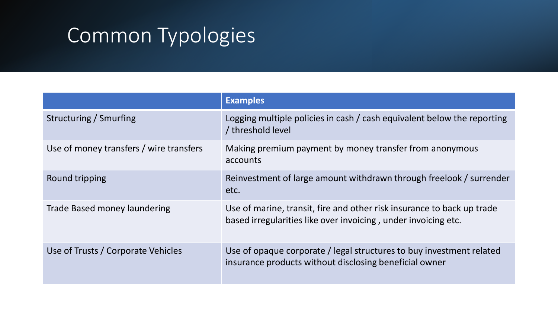## Common Typologies

|                                         | <b>Examples</b>                                                                                                                          |
|-----------------------------------------|------------------------------------------------------------------------------------------------------------------------------------------|
| Structuring / Smurfing                  | Logging multiple policies in cash / cash equivalent below the reporting<br>/ threshold level                                             |
| Use of money transfers / wire transfers | Making premium payment by money transfer from anonymous<br>accounts                                                                      |
| Round tripping                          | Reinvestment of large amount withdrawn through freelook / surrender<br>etc.                                                              |
| Trade Based money laundering            | Use of marine, transit, fire and other risk insurance to back up trade<br>based irregularities like over invoicing, under invoicing etc. |
| Use of Trusts / Corporate Vehicles      | Use of opaque corporate / legal structures to buy investment related<br>insurance products without disclosing beneficial owner           |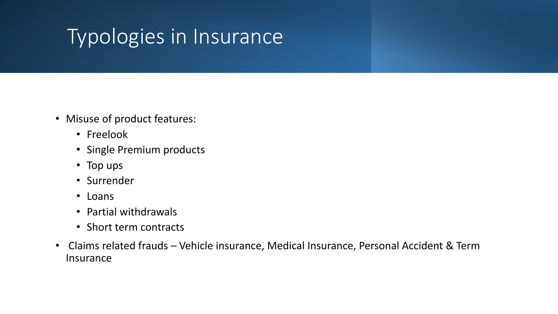## Typologies in Insurance

- Misuse of product features:
	- Freelook
	- Single Premium products
	- Top ups
	- Surrender
	- Loans
	- Partial withdrawals
	- Short term contracts
- Claims related frauds Vehicle insurance, Medical Insurance, Personal Accident & Term Insurance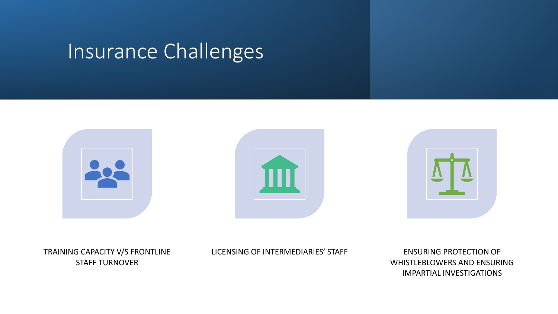### Insurance Challenges







TRAINING CAPACITY V/S FRONTLINE STAFF TURNOVER

LICENSING OF INTERMEDIARIES' STAFF ENSURING PROTECTION OF

WHISTLEBLOWERS AND ENSURING IMPARTIAL INVESTIGATIONS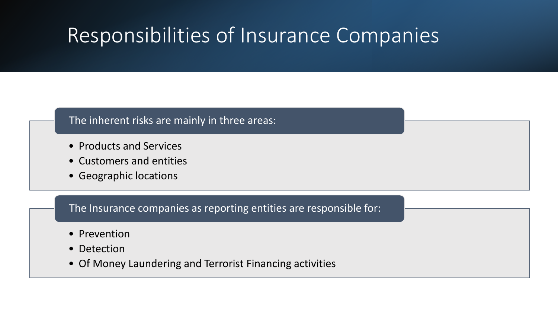## Responsibilities of Insurance Companies

#### The inherent risks are mainly in three areas:

- Products and Services
- Customers and entities
- Geographic locations

The Insurance companies as reporting entities are responsible for:

- Prevention
- Detection
- Of Money Laundering and Terrorist Financing activities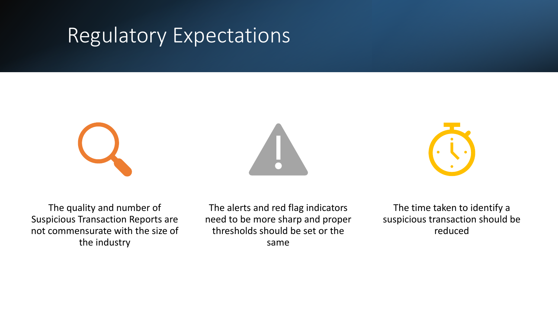### Regulatory Expectations







The quality and number of Suspicious Transaction Reports are not commensurate with the size of the industry

The alerts and red flag indicators need to be more sharp and proper thresholds should be set or the same

The time taken to identify a suspicious transaction should be reduced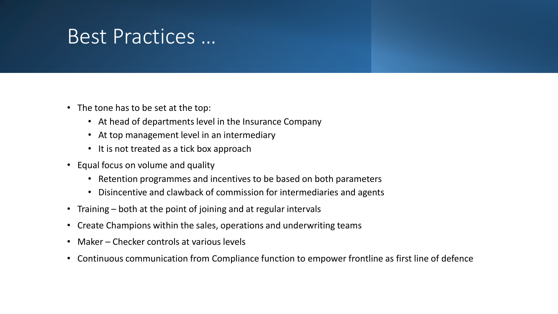### Best Practices …

- The tone has to be set at the top:
	- At head of departments level in the Insurance Company
	- At top management level in an intermediary
	- It is not treated as a tick box approach
- Equal focus on volume and quality
	- Retention programmes and incentives to be based on both parameters
	- Disincentive and clawback of commission for intermediaries and agents
- Training both at the point of joining and at regular intervals
- Create Champions within the sales, operations and underwriting teams
- Maker Checker controls at various levels
- Continuous communication from Compliance function to empower frontline as first line of defence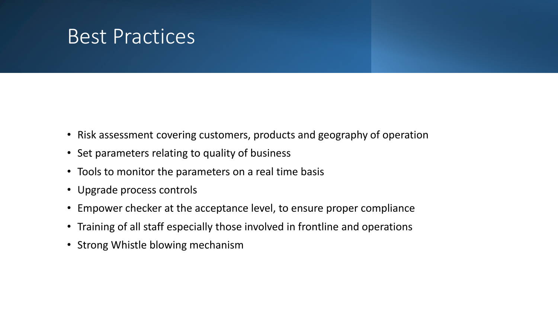### Best Practices

- Risk assessment covering customers, products and geography of operation
- Set parameters relating to quality of business
- Tools to monitor the parameters on a real time basis
- Upgrade process controls
- Empower checker at the acceptance level, to ensure proper compliance
- Training of all staff especially those involved in frontline and operations
- Strong Whistle blowing mechanism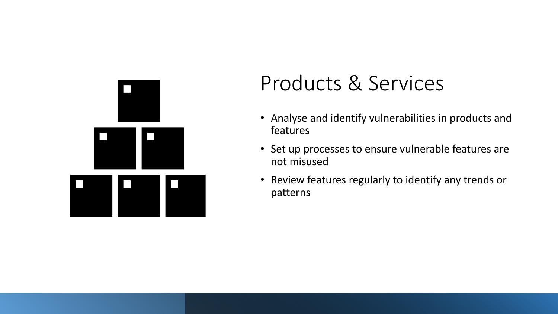

### Products & Services

- Analyse and identify vulnerabilities in products and features
- Set up processes to ensure vulnerable features are not misused
- Review features regularly to identify any trends or patterns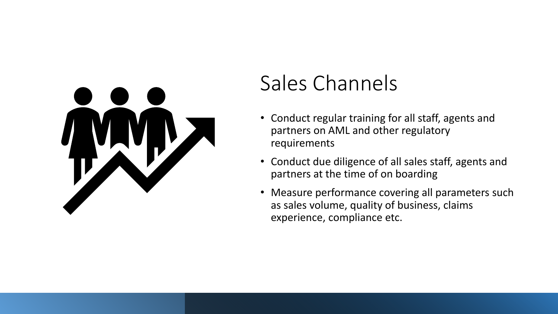

## Sales Channels

- Conduct regular training for all staff, agents and partners on AML and other regulatory requirements
- Conduct due diligence of all sales staff, agents and partners at the time of on boarding
- Measure performance covering all parameters such as sales volume, quality of business, claims experience, compliance etc.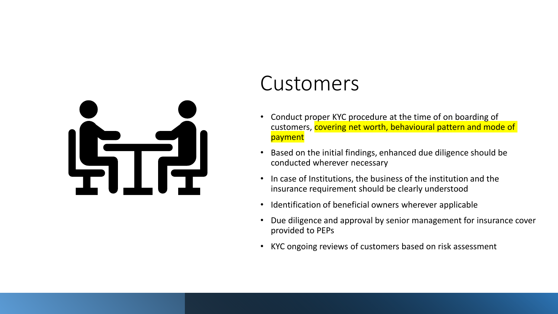

### Customers

- Conduct proper KYC procedure at the time of on boarding of customers, covering net worth, behavioural pattern and mode of payment
- Based on the initial findings, enhanced due diligence should be conducted wherever necessary
- In case of Institutions, the business of the institution and the insurance requirement should be clearly understood
- Identification of beneficial owners wherever applicable
- Due diligence and approval by senior management for insurance cover provided to PEPs
- KYC ongoing reviews of customers based on risk assessment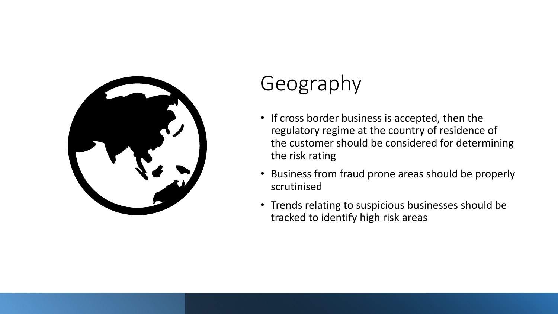

## Geography

- If cross border business is accepted, then the regulatory regime at the country of residence of the customer should be considered for determining the risk rating
- Business from fraud prone areas should be properly scrutinised
- Trends relating to suspicious businesses should be tracked to identify high risk areas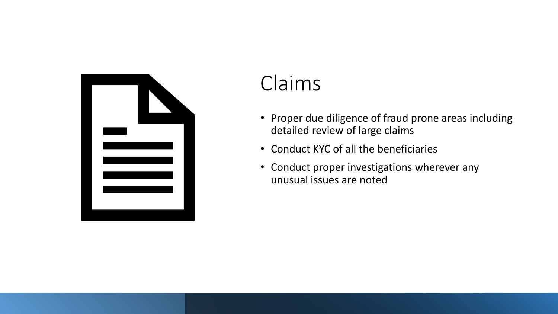

## Claims

- Proper due diligence of fraud prone areas including detailed review of large claims
- Conduct KYC of all the beneficiaries
- Conduct proper investigations wherever any unusual issues are noted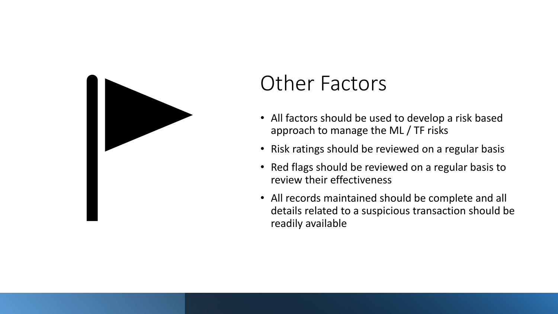

## Other Factors

- All factors should be used to develop a risk based approach to manage the ML / TF risks
- Risk ratings should be reviewed on a regular basis
- Red flags should be reviewed on a regular basis to review their effectiveness
- All records maintained should be complete and all details related to a suspicious transaction should be readily available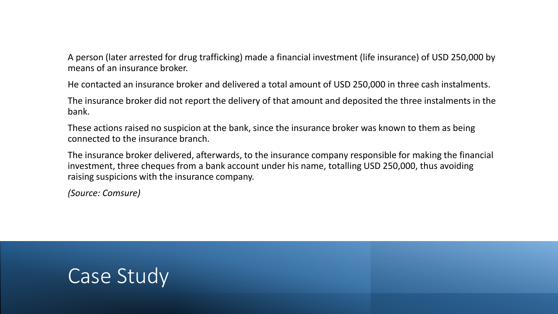A person (later arrested for drug trafficking) made a financial investment (life insurance) of USD 250,000 by means of an insurance broker.

He contacted an insurance broker and delivered a total amount of USD 250,000 in three cash instalments.

The insurance broker did not report the delivery of that amount and deposited the three instalments in the bank.

These actions raised no suspicion at the bank, since the insurance broker was known to them as being connected to the insurance branch.

The insurance broker delivered, afterwards, to the insurance company responsible for making the financial investment, three cheques from a bank account under his name, totalling USD 250,000, thus avoiding raising suspicions with the insurance company.

*(Source: Comsure)*

### Case Study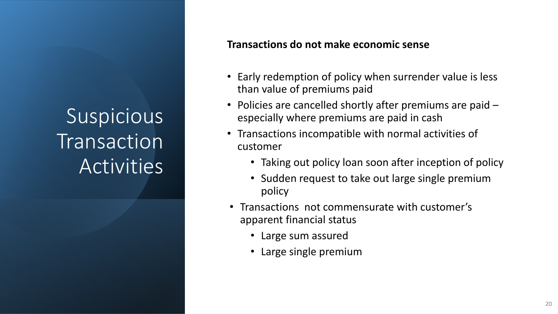#### **Transactions do not make economic sense**

- Early redemption of policy when surrender value is less than value of premiums paid
- Policies are cancelled shortly after premiums are paid especially where premiums are paid in cash
- Transactions incompatible with normal activities of customer
	- Taking out policy loan soon after inception of policy
	- Sudden request to take out large single premium policy
- Transactions not commensurate with customer's apparent financial status
	- Large sum assured
	- Large single premium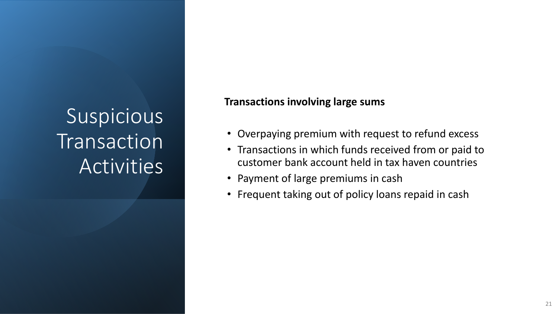#### **Transactions involving large sums**

- Overpaying premium with request to refund excess
- Transactions in which funds received from or paid to customer bank account held in tax haven countries
- Payment of large premiums in cash
- Frequent taking out of policy loans repaid in cash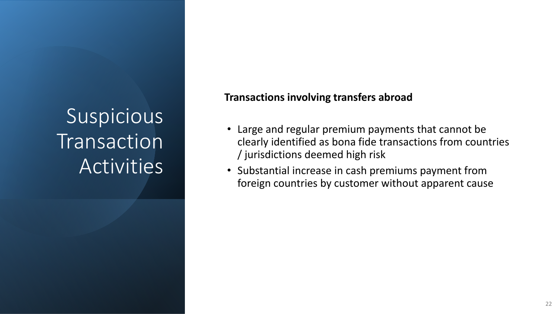#### **Transactions involving transfers abroad**

- Large and regular premium payments that cannot be clearly identified as bona fide transactions from countries / jurisdictions deemed high risk
- Substantial increase in cash premiums payment from foreign countries by customer without apparent cause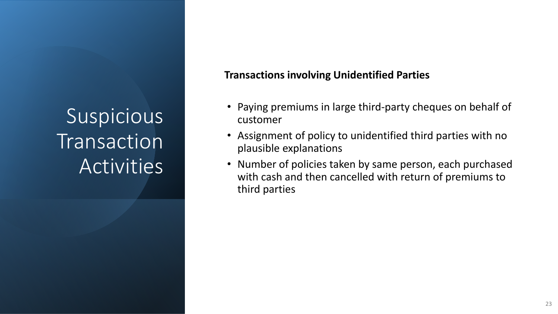#### **Transactions involving Unidentified Parties**

- Paying premiums in large third-party cheques on behalf of customer
- Assignment of policy to unidentified third parties with no plausible explanations
- Number of policies taken by same person, each purchased with cash and then cancelled with return of premiums to third parties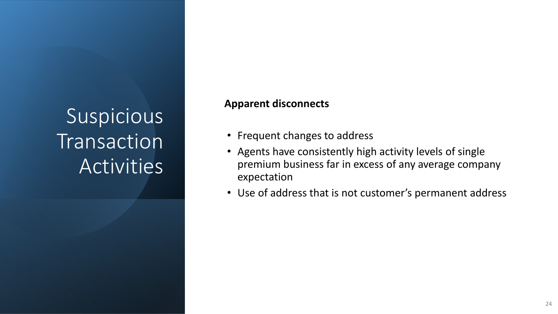#### **Apparent disconnects**

- Frequent changes to address
- Agents have consistently high activity levels of single premium business far in excess of any average company expectation
- Use of address that is not customer's permanent address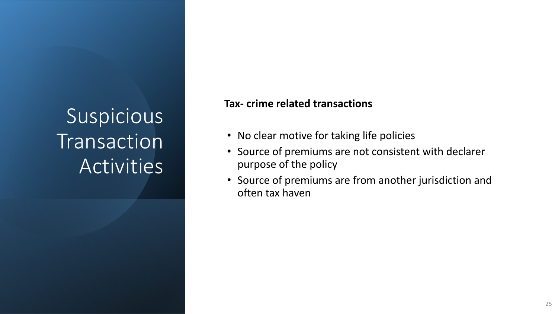#### **Tax- crime related transactions**

- No clear motive for taking life policies
- Source of premiums are not consistent with declarer purpose of the policy
- Source of premiums are from another jurisdiction and often tax haven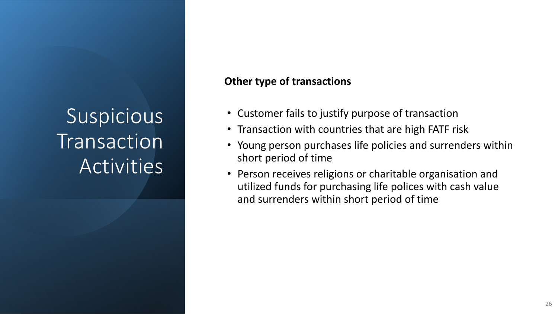#### **Other type of transactions**

- Customer fails to justify purpose of transaction
- Transaction with countries that are high FATF risk
- Young person purchases life policies and surrenders within short period of time
- Person receives religions or charitable organisation and utilized funds for purchasing life polices with cash value and surrenders within short period of time